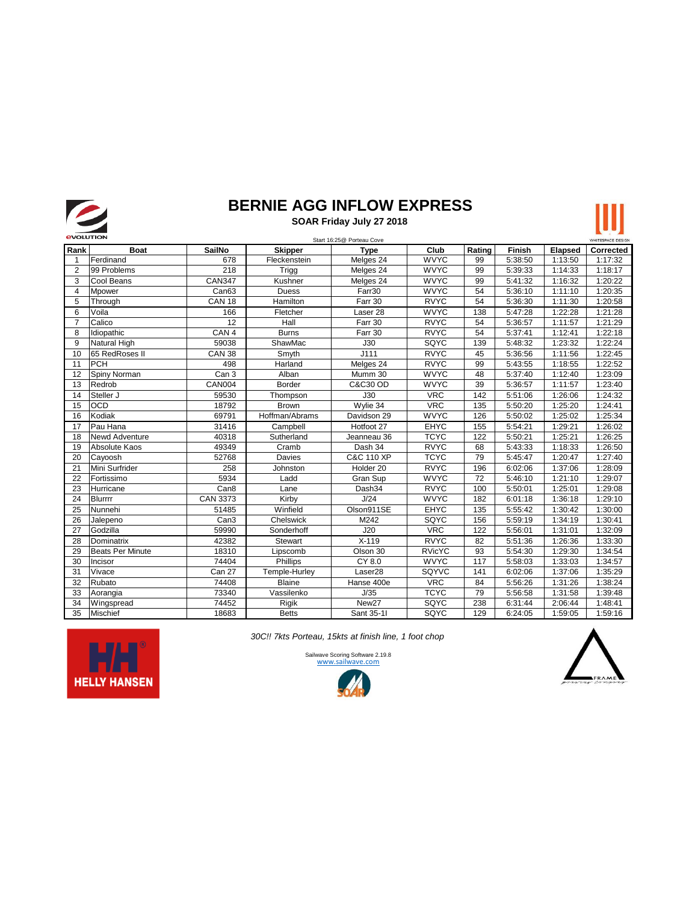

## **BERNIE AGG INFLOW EXPRESS**

 **SOAR Friday July 27 2018**



|                |                         |                   |                | Start 16:25@ Porteau Cove |               |        |               |                | WHITESPACE DESIGN |
|----------------|-------------------------|-------------------|----------------|---------------------------|---------------|--------|---------------|----------------|-------------------|
| Rank           | <b>Boat</b>             | <b>SailNo</b>     | <b>Skipper</b> | <b>Type</b>               | Club          | Rating | <b>Finish</b> | <b>Elapsed</b> | Corrected         |
| -1             | Ferdinand               | 678               | Fleckenstein   | Melges 24                 | <b>WVYC</b>   | 99     | 5:38:50       | 1:13:50        | 1:17:32           |
| $\overline{2}$ | 99 Problems             | 218               | Trigg          | Melges 24                 | <b>WVYC</b>   | 99     | 5:39:33       | 1:14:33        | 1:18:17           |
| 3              | Cool Beans              | <b>CAN347</b>     | Kushner        | Melges 24                 | <b>WVYC</b>   | 99     | 5:41:32       | 1:16:32        | 1:20:22           |
| $\overline{4}$ | <b>Mpower</b>           | Can <sub>63</sub> | <b>Duess</b>   | Farr30                    | <b>WVYC</b>   | 54     | 5:36:10       | 1:11:10        | 1:20:35           |
| 5              | Through                 | <b>CAN 18</b>     | Hamilton       | Farr 30                   | <b>RVYC</b>   | 54     | 5:36:30       | 1:11:30        | 1:20:58           |
| 6              | Voila                   | 166               | Fletcher       | Laser 28                  | <b>WVYC</b>   | 138    | 5:47:28       | 1:22:28        | 1:21:28           |
| $\overline{7}$ | Calico                  | 12                | Hall           | Farr 30                   | <b>RVYC</b>   | 54     | 5:36:57       | 1:11:57        | 1:21:29           |
| 8              | Idiopathic              | CAN <sub>4</sub>  | <b>Burns</b>   | Farr 30                   | <b>RVYC</b>   | 54     | 5:37:41       | 1:12:41        | 1:22:18           |
| 9              | Natural High            | 59038             | ShawMac        | J30                       | SQYC          | 139    | 5:48:32       | 1:23:32        | 1:22:24           |
| 10             | 65 RedRoses II          | <b>CAN 38</b>     | Smyth          | J111                      | <b>RVYC</b>   | 45     | 5:36:56       | 1:11:56        | 1:22:45           |
| 11             | PCH                     | 498               | Harland        | Melges 24                 | <b>RVYC</b>   | 99     | 5:43:55       | 1:18:55        | 1:22:52           |
| 12             | Spiny Norman            | Can <sub>3</sub>  | Alban          | Mumm 30                   | <b>WVYC</b>   | 48     | 5:37:40       | 1:12:40        | 1:23:09           |
| 13             | Redrob                  | CAN004            | Border         | C&C30 OD                  | <b>WVYC</b>   | 39     | 5:36:57       | 1:11:57        | 1:23:40           |
| 14             | Steller J               | 59530             | Thompson       | J30                       | <b>VRC</b>    | 142    | 5:51:06       | 1:26:06        | 1:24:32           |
| 15             | <b>OCD</b>              | 18792             | <b>Brown</b>   | Wylie 34                  | <b>VRC</b>    | 135    | 5:50:20       | 1:25:20        | 1:24:41           |
| 16             | Kodiak                  | 69791             | Hoffman/Abrams | Davidson 29               | <b>WVYC</b>   | 126    | 5:50:02       | 1:25:02        | 1:25:34           |
| 17             | Pau Hana                | 31416             | Campbell       | Hotfoot 27                | <b>EHYC</b>   | 155    | 5:54:21       | 1:29:21        | 1:26:02           |
| 18             | <b>Newd Adventure</b>   | 40318             | Sutherland     | Jeanneau 36               | <b>TCYC</b>   | 122    | 5:50:21       | 1:25:21        | 1:26:25           |
| 19             | Absolute Kaos           | 49349             | Cramb          | Dash 34                   | <b>RVYC</b>   | 68     | 5:43:33       | 1:18:33        | 1:26:50           |
| 20             | Cayoosh                 | 52768             | Davies         | C&C 110 XP                | <b>TCYC</b>   | 79     | 5:45:47       | 1:20:47        | 1:27:40           |
| 21             | Mini Surfrider          | 258               | Johnston       | Holder 20                 | <b>RVYC</b>   | 196    | 6:02:06       | 1:37:06        | 1:28:09           |
| 22             | Fortissimo              | 5934              | Ladd           | Gran Sup                  | <b>WVYC</b>   | 72     | 5:46:10       | 1:21:10        | 1:29:07           |
| 23             | Hurricane               | Can <sub>8</sub>  | Lane           | Dash34                    | <b>RVYC</b>   | 100    | 5:50:01       | 1:25:01        | 1:29:08           |
| 24             | <b>Blurrrr</b>          | CAN 3373          | Kirby          | J/24                      | <b>WVYC</b>   | 182    | 6:01:18       | 1:36:18        | 1:29:10           |
| 25             | Nunnehi                 | 51485             | Winfield       | Olson911SE                | <b>EHYC</b>   | 135    | 5:55:42       | 1:30:42        | 1:30:00           |
| 26             | Jalepeno                | Can <sub>3</sub>  | Chelswick      | M242                      | SQYC          | 156    | 5:59:19       | 1:34:19        | 1:30:41           |
| 27             | Godzilla                | 59990             | Sonderhoff     | J20                       | <b>VRC</b>    | 122    | 5:56:01       | 1:31:01        | 1:32:09           |
| 28             | Dominatrix              | 42382             | Stewart        | $X-119$                   | <b>RVYC</b>   | 82     | 5:51:36       | 1:26:36        | 1:33:30           |
| 29             | <b>Beats Per Minute</b> | 18310             | Lipscomb       | Olson 30                  | <b>RVicYC</b> | 93     | 5:54:30       | 1:29:30        | 1:34:54           |
| 30             | Incisor                 | 74404             | Phillips       | CY 8.0                    | <b>WVYC</b>   | 117    | 5:58:03       | 1:33:03        | 1:34:57           |
| 31             | Vivace                  | Can 27            | Temple-Hurley  | Laser <sub>28</sub>       | SQYVC         | 141    | 6:02:06       | 1:37:06        | 1:35:29           |
| 32             | Rubato                  | 74408             | <b>Blaine</b>  | Hanse 400e                | <b>VRC</b>    | 84     | 5:56:26       | 1:31:26        | 1:38:24           |
| 33             | Aorangia                | 73340             | Vassilenko     | J/35                      | <b>TCYC</b>   | 79     | 5:56:58       | 1:31:58        | 1:39:48           |
| 34             | Wingspread              | 74452             | Rigik          | New <sub>27</sub>         | SQYC          | 238    | 6:31:44       | 2:06:44        | 1:48:41           |
| 35             | <b>Mischief</b>         | 18683             | <b>Betts</b>   | Sant 35-11                | SQYC          | 129    | 6:24:05       | 1:59:05        | 1:59:16           |

*30C!! 7kts Porteau, 15kts at finish line, 1 foot chop*



[Sailw](http://www.sailwave.com/)ave Scoring Software 2.19.8<br>WWW.sailwave.com

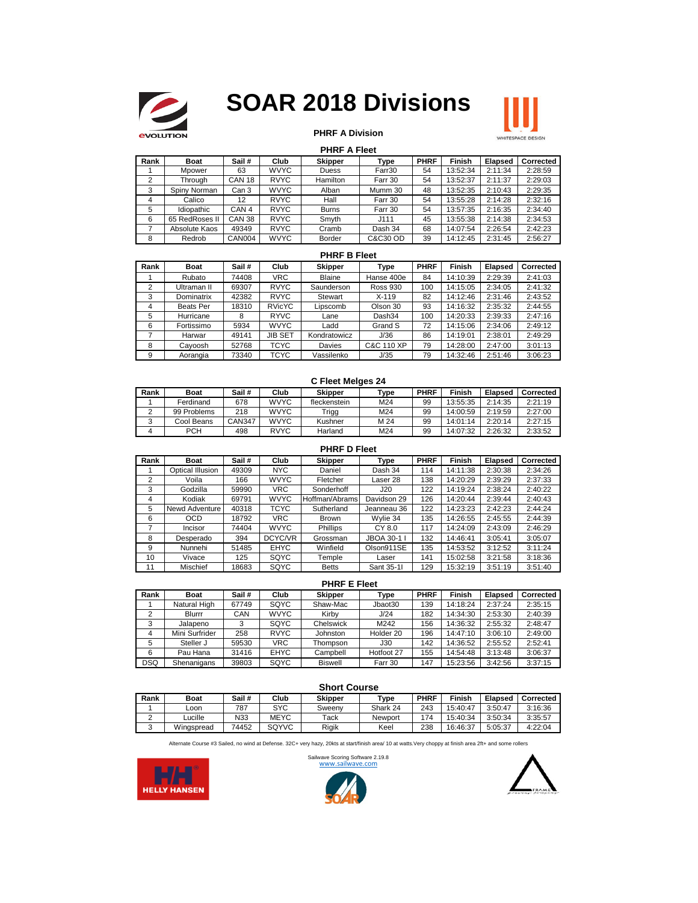

# **SOAR 2018 Divisions**



### **PHRF A Division**

#### **PHRF A Fleet**

| Rank | <b>Boat</b>    | Sail#            | Club        | <b>Skipper</b> | Type     | <b>PHRF</b> | Finish   | <b>Elapsed</b> | Corrected |
|------|----------------|------------------|-------------|----------------|----------|-------------|----------|----------------|-----------|
|      | Mpower         | 63               | <b>WVYC</b> | Duess          | Farr30   | 54          | 13:52:34 | 2:11:34        | 2:28:59   |
|      | Throuah        | <b>CAN 18</b>    | <b>RVYC</b> | Hamilton       | Farr 30  | 54          | 13:52:37 | 2:11:37        | 2:29:03   |
|      | Spiny Norman   | Can 3            | <b>WVYC</b> | Alban          | Mumm 30  | 48          | 13:52:35 | 2:10:43        | 2:29:35   |
| 4    | Calico         | 12               | <b>RVYC</b> | Hall           | Farr 30  | 54          | 13:55:28 | 2:14:28        | 2:32:16   |
| 5    | Idiopathic     | CAN <sub>4</sub> | <b>RVYC</b> | <b>Burns</b>   | Farr 30  | 54          | 13:57:35 | 2:16:35        | 2:34:40   |
| 6    | 65 RedRoses II | <b>CAN 38</b>    | <b>RVYC</b> | Smyth          | J111     | 45          | 13:55:38 | 2:14:38        | 2:34:53   |
|      | Absolute Kaos  | 49349            | <b>RVYC</b> | Cramb          | Dash 34  | 68          | 14:07:54 | 2:26:54        | 2:42:23   |
| 8    | Redrob         | CAN004           | <b>WVYC</b> | Border         | C&C30 OD | 39          | 14:12:45 | 2:31:45        | 2:56:27   |

#### **PHRF B Fleet**

| Rank | <b>Boat</b>      | Sail# | Club           | <b>Skipper</b> | Type            | <b>PHRF</b> | <b>Finish</b> | <b>Elapsed</b> | Corrected |
|------|------------------|-------|----------------|----------------|-----------------|-------------|---------------|----------------|-----------|
|      | Rubato           | 74408 | VRC            | <b>Blaine</b>  | Hanse 400e      | 84          | 14:10:39      | 2:29:39        | 2:41:03   |
| 2    | Ultraman II      | 69307 | <b>RVYC</b>    | Saunderson     | <b>Ross 930</b> | 100         | 14:15:05      | 2:34:05        | 2:41:32   |
| 3    | Dominatrix       | 42382 | <b>RVYC</b>    | Stewart        | $X - 119$       | 82          | 14:12:46      | 2:31:46        | 2:43:52   |
| 4    | <b>Beats Per</b> | 18310 | <b>RVicYC</b>  | Lipscomb       | Olson 30        | 93          | 14:16:32      | 2:35:32        | 2:44:55   |
| 5    | Hurricane        | 8     | <b>RYVC</b>    | Lane           | Dash34          | 100         | 14:20:33      | 2:39:33        | 2:47:16   |
| 6    | Fortissimo       | 5934  | <b>WVYC</b>    | Ladd           | Grand S         | 72          | 14:15:06      | 2:34:06        | 2:49:12   |
|      | Harwar           | 49141 | <b>JIB SET</b> | Kondratowicz   | J/36            | 86          | 14:19:01      | 2:38:01        | 2:49:29   |
| 8    | Cavoosh          | 52768 | <b>TCYC</b>    | Davies         | C&C 110 XP      | 79          | 14:28:00      | 2:47:00        | 3:01:13   |
| 9    | Aorangia         | 73340 | TCYC           | Vassilenko     | J/35            | 79          | 14:32:46      | 2:51:46        | 3:06:23   |

#### **C Fleet Melges 24**

| Rank | <b>Boat</b> | Sail#  | Club        | <b>Skipper</b> | Type | <b>PHRF</b> | Finish   | Elapsed | Corrected |
|------|-------------|--------|-------------|----------------|------|-------------|----------|---------|-----------|
|      | Ferdinand   | 678    | <b>WVYC</b> | fleckenstein   | M24  | 99          | 13:55:35 | 2:14:35 | 2:21:19   |
|      | 99 Problems | 218    | <b>WVYC</b> | Trigg          | M24  | 99          | 14:00:59 | 2:19:59 | 2:27:00   |
|      | Cool Beans  | CAN347 | <b>WVYC</b> | Kushner        | M 24 | 99          | 14:01:14 | 2:20:14 | 2:27:15   |
|      | <b>PCH</b>  | 498    | <b>RVYC</b> | Harland        | M24  | 99          | 14:07:32 | 2:26:32 | 2:33:52   |

|      | <b>PHRF D Fleet</b> |       |             |                |             |             |               |         |           |  |  |  |
|------|---------------------|-------|-------------|----------------|-------------|-------------|---------------|---------|-----------|--|--|--|
| Rank | <b>Boat</b>         | Sail# | Club        | <b>Skipper</b> | Type        | <b>PHRF</b> | <b>Finish</b> | Elapsed | Corrected |  |  |  |
|      | Optical Illusion    | 49309 | <b>NYC</b>  | Daniel         | Dash 34     | 114         | 14:11:38      | 2:30:38 | 2:34:26   |  |  |  |
| 2    | Voila               | 166   | <b>WVYC</b> | Fletcher       | Laser 28    | 138         | 14:20:29      | 2:39:29 | 2:37:33   |  |  |  |
| 3    | Godzilla            | 59990 | <b>VRC</b>  | Sonderhoff     | J20         | 122         | 14:19:24      | 2:38:24 | 2:40:22   |  |  |  |
| 4    | Kodiak              | 69791 | <b>WVYC</b> | Hoffman/Abrams | Davidson 29 | 126         | 14:20:44      | 2:39:44 | 2:40:43   |  |  |  |
| 5    | Newd Adventure      | 40318 | <b>TCYC</b> | Sutherland     | Jeanneau 36 | 122         | 14:23:23      | 2:42:23 | 2:44:24   |  |  |  |
| 6    | <b>OCD</b>          | 18792 | VRC.        | <b>Brown</b>   | Wylie 34    | 135         | 14:26:55      | 2:45:55 | 2:44:39   |  |  |  |
| 7    | <b>Incisor</b>      | 74404 | <b>WVYC</b> | Phillips       | CY 8.0      | 117         | 14:24:09      | 2:43:09 | 2:46:29   |  |  |  |
| 8    | Desperado           | 394   | DCYC/VR     | Grossman       | JBOA 30-1 I | 132         | 14:46:41      | 3:05:41 | 3:05:07   |  |  |  |
| 9    | Nunnehi             | 51485 | <b>EHYC</b> | Winfield       | Olson911SE  | 135         | 14:53:52      | 3:12:52 | 3:11:24   |  |  |  |
| 10   | Vivace              | 125   | SQYC        | Temple         | Laser       | 141         | 15:02:58      | 3:21:58 | 3:18:36   |  |  |  |
| 11   | Mischief            | 18683 | SQYC        | <b>Betts</b>   | Sant 35-11  | 129         | 15:32:19      | 3:51:19 | 3:51:40   |  |  |  |

#### **PHRF E Fleet**

| .          |                |       |             |                 |            |             |          |                |           |  |
|------------|----------------|-------|-------------|-----------------|------------|-------------|----------|----------------|-----------|--|
| Rank       | <b>Boat</b>    | Sail# | Club        | <b>Skipper</b>  | Type       | <b>PHRF</b> | Finish   | <b>Elapsed</b> | Corrected |  |
|            | Natural High   | 67749 | SQYC        | Shaw-Mac        | Jbaot30    | 139         | 14:18:24 | 2:37:24        | 2:35:15   |  |
|            | Blurrr         | CAN   | <b>WVYC</b> | Kirby           | J/24       | 182         | 14:34:30 | 2:53:30        | 2:40:39   |  |
| 3          | Jalapeno       |       | SQYC        | Chelswick       | M242       | 156         | 14:36:32 | 2:55:32        | 2:48:47   |  |
| 4          | Mini Surfrider | 258   | <b>RVYC</b> | <b>Johnston</b> | Holder 20  | 196         | 14:47:10 | 3:06:10        | 2:49:00   |  |
| 5          | Steller J      | 59530 | VRC         | Thompson        | J30        | 142         | 14:36:52 | 2:55:52        | 2:52:41   |  |
| 6          | Pau Hana       | 31416 | EHYC        | Campbell        | Hotfoot 27 | 155         | 14:54:48 | 3:13:48        | 3:06:37   |  |
| <b>DSQ</b> | Shenanigans    | 39803 | SQYC        | <b>Biswell</b>  | Farr 30    | 147         | 15:23:56 | 3:42:56        | 3:37:15   |  |

#### **Rank Boat Sail # Club Skipper Type PHRF Finish Elapsed Corrected**<br>1 **Loon** 787 SYC Sweeny Shark 24 243 15:40:47 3:50:47 3:16:36 Loon 787 SYC Sweeny Shark 24 243 15:40:47 3:50:47 3:16:36 2 | Lucille | N33 | MEYC | Tack | Newport | 174 | 15:40:34 | 3:50:34 | 3:35:57 3 Wingspread 74452 SQYVC Rigik Keel 238 16:46:37 5:05:37 4:22:04 **Short Course**

Alternate Course #3 Sailed, no wind at Defense. 32C+ very hazy, 20kts at start/finish area/ 10 at watts.Very choppy at finish area 2ft+ and some rollers





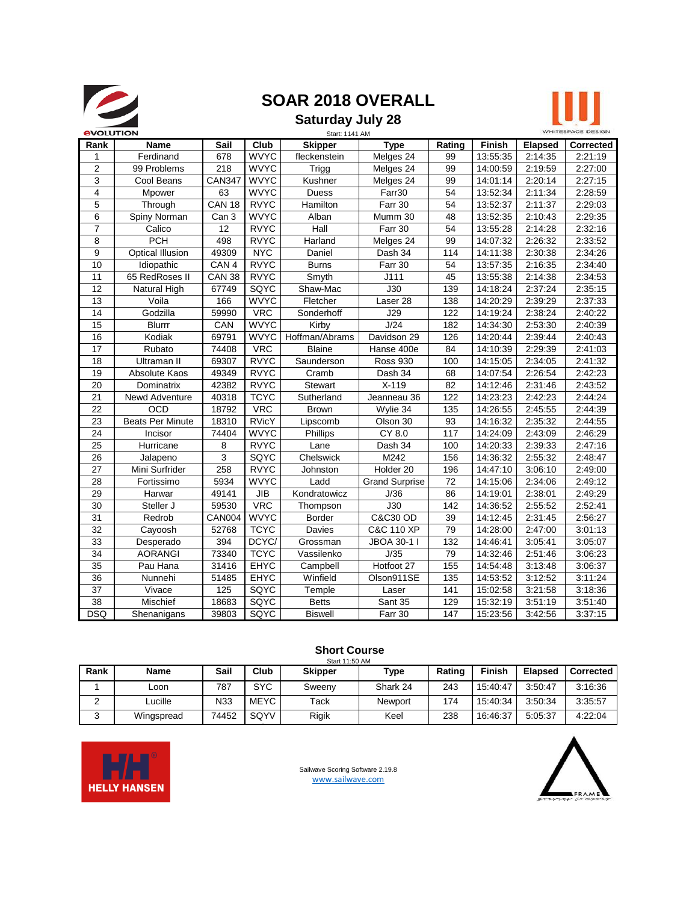

# **SOAR 2018 OVERALL**

## **Saturday July 28**



| <b><i><u>EVOLUTION</u></i></b> |                         |                  |              | Start: 1141 AM |                       |                 |          |                | WHITESPACE DESIGN |
|--------------------------------|-------------------------|------------------|--------------|----------------|-----------------------|-----------------|----------|----------------|-------------------|
| Rank                           | <b>Name</b>             | Sail             | Club         | <b>Skipper</b> | <b>Type</b>           | Rating          | Finish   | <b>Elapsed</b> | <b>Corrected</b>  |
| 1                              | Ferdinand               | 678              | <b>WVYC</b>  | fleckenstein   | Melges 24             | 99              | 13:55:35 | 2:14:35        | 2:21:19           |
| $\overline{2}$                 | 99 Problems             | 218              | <b>WVYC</b>  | Trigg          | Melges 24             | 99              | 14:00:59 | 2:19:59        | 2:27:00           |
| 3                              | Cool Beans              | <b>CAN347</b>    | <b>WVYC</b>  | Kushner        | Melges 24             | 99              | 14:01:14 | 2:20:14        | 2:27:15           |
| $\overline{4}$                 | Mpower                  | 63               | <b>WVYC</b>  | <b>Duess</b>   | Farr30                | 54              | 13:52:34 | 2:11:34        | 2:28:59           |
| 5                              | Through                 | <b>CAN 18</b>    | <b>RVYC</b>  | Hamilton       | Farr 30               | 54              | 13:52:37 | 2:11:37        | 2:29:03           |
| 6                              | Spiny Norman            | Can <sub>3</sub> | <b>WVYC</b>  | Alban          | Mumm 30               | 48              | 13:52:35 | 2:10:43        | 2:29:35           |
| $\overline{7}$                 | Calico                  | 12               | <b>RVYC</b>  | Hall           | Farr 30               | 54              | 13:55:28 | 2:14:28        | 2:32:16           |
| 8                              | $\overline{PCH}$        | 498              | <b>RVYC</b>  | Harland        | Melges 24             | 99              | 14:07:32 | 2:26:32        | 2:33:52           |
| 9                              | <b>Optical Illusion</b> | 49309            | <b>NYC</b>   | Daniel         | Dash $3\overline{4}$  | 114             | 14:11:38 | 2:30:38        | 2:34:26           |
| 10                             | Idiopathic              | CAN 4            | <b>RVYC</b>  | <b>Burns</b>   | Farr 30               | 54              | 13:57:35 | 2:16:35        | 2:34:40           |
| 11                             | 65 RedRoses II          | <b>CAN 38</b>    | <b>RVYC</b>  | Smyth          | J111                  | 45              | 13:55:38 | 2:14:38        | 2:34:53           |
| 12                             | Natural High            | 67749            | SQYC         | Shaw-Mac       | J30                   | 139             | 14:18:24 | 2:37:24        | 2:35:15           |
| 13                             | Voila                   | 166              | <b>WVYC</b>  | Fletcher       | Laser 28              | 138             | 14:20:29 | 2:39:29        | 2:37:33           |
| 14                             | Godzilla                | 59990            | <b>VRC</b>   | Sonderhoff     | J29                   | 122             | 14:19:24 | 2:38:24        | 2:40:22           |
| 15                             | <b>Blurrr</b>           | CAN              | <b>WVYC</b>  | Kirby          | J/24                  | 182             | 14:34:30 | 2:53:30        | 2:40:39           |
| 16                             | Kodiak                  | 69791            | <b>WVYC</b>  | Hoffman/Abrams | Davidson 29           | 126             | 14:20:44 | 2:39:44        | 2:40:43           |
| 17                             | Rubato                  | 74408            | <b>VRC</b>   | <b>Blaine</b>  | Hanse 400e            | 84              | 14:10:39 | 2:29:39        | 2:41:03           |
| 18                             | Ultraman II             | 69307            | <b>RVYC</b>  | Saunderson     | <b>Ross 930</b>       | 100             | 14:15:05 | 2:34:05        | 2:41:32           |
| 19                             | Absolute Kaos           | 49349            | <b>RVYC</b>  | Cramb          | Dash 34               | 68              | 14:07:54 | 2:26:54        | 2:42:23           |
| 20                             | Dominatrix              | 42382            | <b>RVYC</b>  | Stewart        | $X-119$               | 82              | 14:12:46 | 2:31:46        | 2:43:52           |
| 21                             | Newd Adventure          | 40318            | <b>TCYC</b>  | Sutherland     | Jeanneau 36           | 122             | 14:23:23 | 2:42:23        | 2:44:24           |
| 22                             | <b>OCD</b>              | 18792            | <b>VRC</b>   | <b>Brown</b>   | Wylie 34              | 135             | 14:26:55 | 2:45:55        | 2:44:39           |
| 23                             | <b>Beats Per Minute</b> | 18310            | <b>RVicY</b> | Lipscomb       | Olson 30              | 93              | 14:16:32 | 2:35:32        | 2:44:55           |
| 24                             | Incisor                 | 74404            | <b>WVYC</b>  | Phillips       | CY 8.0                | 117             | 14:24:09 | 2:43:09        | 2:46:29           |
| 25                             | Hurricane               | 8                | <b>RVYC</b>  | Lane           | Dash 34               | 100             | 14:20:33 | 2:39:33        | 2:47:16           |
| 26                             | Jalapeno                | 3                | SQYC         | Chelswick      | M242                  | 156             | 14:36:32 | 2:55:32        | 2:48:47           |
| 27                             | Mini Surfrider          | 258              | <b>RVYC</b>  | Johnston       | Holder 20             | 196             | 14:47:10 | 3:06:10        | 2:49:00           |
| 28                             | Fortissimo              | 5934             | <b>WVYC</b>  | Ladd           | <b>Grand Surprise</b> | 72              | 14:15:06 | 2:34:06        | 2:49:12           |
| 29                             | Harwar                  | 49141            | <b>JIB</b>   | Kondratowicz   | J/36                  | 86              | 14:19:01 | 2:38:01        | 2:49:29           |
| 30                             | Steller J               | 59530            | <b>VRC</b>   | Thompson       | J30                   | 142             | 14:36:52 | 2:55:52        | 2:52:41           |
| 31                             | Redrob                  | <b>CAN004</b>    | <b>WVYC</b>  | <b>Border</b>  | <b>C&amp;C30 OD</b>   | 39              | 14:12:45 | 2:31:45        | 2:56:27           |
| 32                             | Cayoosh                 | 52768            | <b>TCYC</b>  | Davies         | <b>C&amp;C 110 XP</b> | 79              | 14:28:00 | 2:47:00        | 3:01:13           |
| 33                             | Desperado               | 394              | DCYC/        | Grossman       | JBOA 30-1 I           | 132             | 14:46:41 | 3:05:41        | 3:05:07           |
| 34                             | <b>AORANGI</b>          | 73340            | <b>TCYC</b>  | Vassilenko     | J/35                  | $\overline{79}$ | 14:32:46 | 2:51:46        | 3:06:23           |
| 35                             | Pau Hana                | 31416            | EHYC         | Campbell       | Hotfoot 27            | 155             | 14:54:48 | 3:13:48        | 3:06:37           |
| $\overline{36}$                | Nunnehi                 | 51485            | <b>EHYC</b>  | Winfield       | Olson911SE            | 135             | 14:53:52 | 3:12:52        | 3:11:24           |
| $\overline{37}$                | Vivace                  | 125              | SQYC         | Temple         | Laser                 | 141             | 15:02:58 | 3:21:58        | 3:18:36           |
| 38                             | Mischief                | 18683            | SQYC         | <b>Betts</b>   | Sant 35               | 129             | 15:32:19 | 3:51:19        | 3:51:40           |
| <b>DSQ</b>                     | Shenanigans             | 39803            | SQYC         | <b>Biswell</b> | Farr 30               | 147             | 15:23:56 | 3:42:56        | 3:37:15           |

### **Short Course**

| Rank | Name       | Sail  | Club        | <b>Skipper</b> | Type     | Rating | <b>Finish</b> | <b>Elapsed</b> | <b>Corrected</b> |
|------|------------|-------|-------------|----------------|----------|--------|---------------|----------------|------------------|
|      | Loon       | 787   | <b>SYC</b>  | Sweenv         | Shark 24 | 243    | 15:40:47      | 3:50:47        | 3:16:36          |
| ∠    | Lucille    | N33   | <b>MEYC</b> | Tack           | Newport  | 174    | 15:40:34      | 3:50:34        | 3:35:57          |
| J    | Wingspread | 74452 | SQYV        | Rigik          | Keel     | 238    | 16:46:37      | 5:05:37        | 4:22:04          |



[Sailw](http://www.sailwave.com/)ave Scoring Software 2.19.8 www.sailwave.com

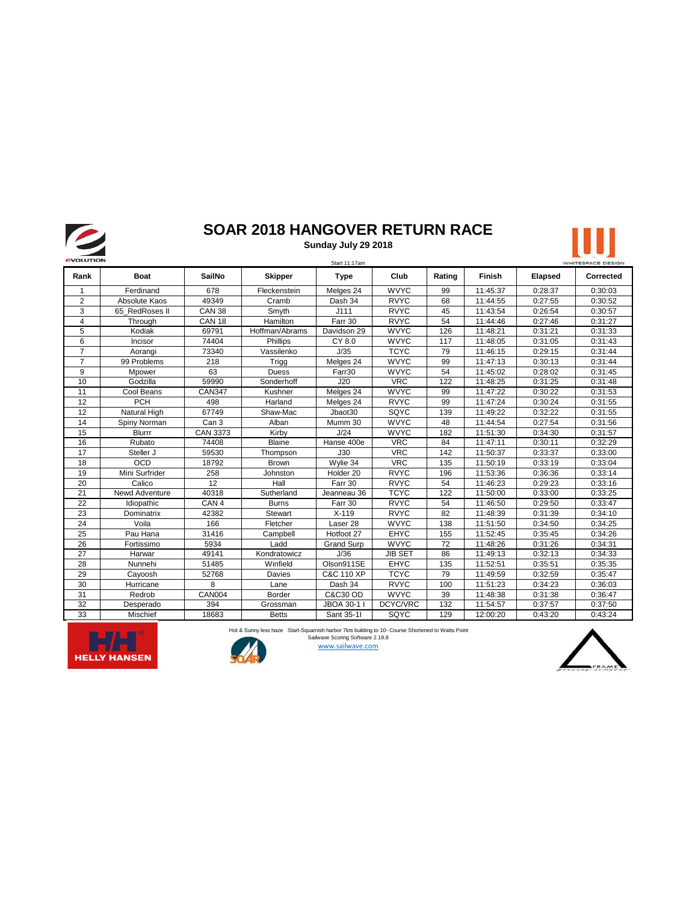

## **SOAR 2018 HANGOVER RETURN RACE**

**Sunday July 29 2018**





Hot & Sunny less haze Start-Squamish harbor 7kts building to 10- Course Shortened to Watts Point Sailwave Scoring Software 2.19.8



www.sailwave.com

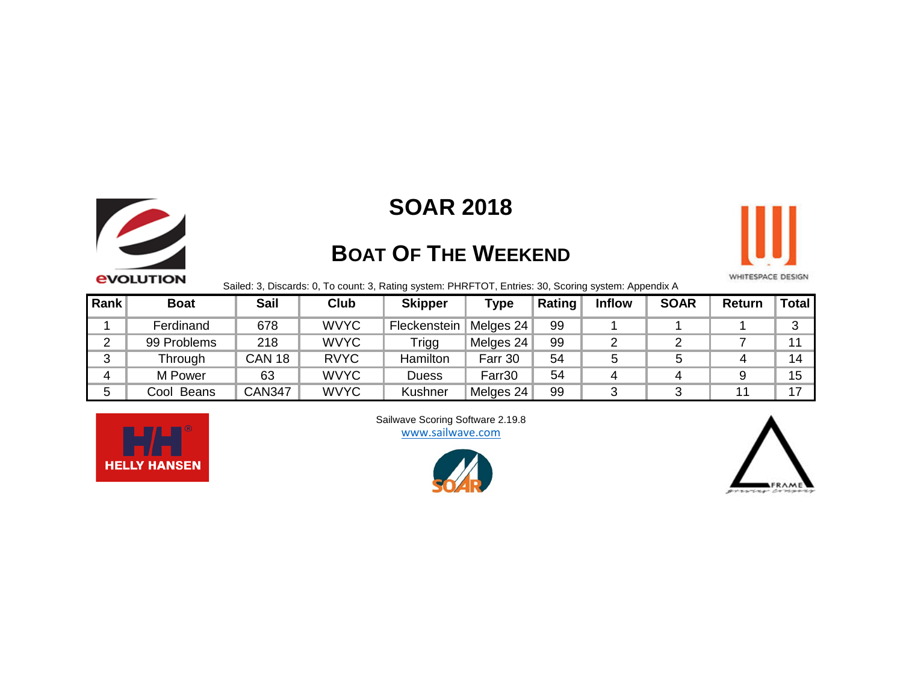

# **SOAR 2018**

# **BOAT OF THE WEEKEND**



Sailed: 3, Discards: 0, To count: 3, Rating system: PHRFTOT, Entries: 30, Scoring system: Appendix A

| Rank   | <b>Boat</b>          | <b>Sail</b>   | <b>Club</b> | <b>Skipper</b> | <b>Type</b> | Rating | <b>Inflow</b> | <b>SOAR</b> | <b>Return</b> | Total |
|--------|----------------------|---------------|-------------|----------------|-------------|--------|---------------|-------------|---------------|-------|
|        | Ferdinand            | 678           | <b>WVYC</b> | Fleckenstein   | Melges 24   | 99     |               |             |               | າ     |
|        | 99 Problems          | 218           | <b>WVYC</b> | Trigg          | Melges 24   | 99     |               |             |               | 11    |
| ◠<br>J | Through              | <b>CAN 18</b> | <b>RVYC</b> | Hamilton       | Farr 30     | 54     | 5             |             |               | 14    |
|        | M Power              | 63            | <b>WVYC</b> | <b>Duess</b>   | Farr30      | 54     |               | 4           |               | 15    |
|        | <b>Beans</b><br>Cool | <b>CAN347</b> | <b>WVYC</b> | Kushner        | Melges 24   | 99     |               |             |               | 17    |



www.sailwave.com [Sailwa](http://www.sailwave.com/)ve Scoring Software 2.19.8